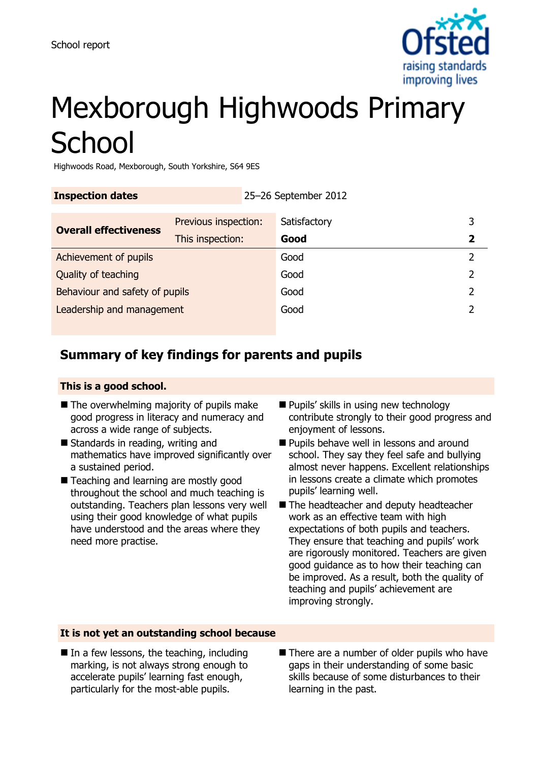

# Mexborough Highwoods Primary **School**

Highwoods Road, Mexborough, South Yorkshire, S64 9ES

| <b>Inspection dates</b>        |                                          | 25-26 September 2012 |                      |               |
|--------------------------------|------------------------------------------|----------------------|----------------------|---------------|
| <b>Overall effectiveness</b>   | Previous inspection:<br>This inspection: |                      | Satisfactory<br>Good | 3             |
| Achievement of pupils          |                                          |                      | Good                 |               |
| Quality of teaching            |                                          |                      | Good                 | 2             |
| Behaviour and safety of pupils |                                          |                      | Good                 | $\mathcal{P}$ |
| Leadership and management      |                                          |                      | Good                 |               |
|                                |                                          |                      |                      |               |

## **Summary of key findings for parents and pupils**

#### **This is a good school.**

- $\blacksquare$  The overwhelming majority of pupils make good progress in literacy and numeracy and across a wide range of subjects.
- Standards in reading, writing and mathematics have improved significantly over a sustained period.
- Teaching and learning are mostly good throughout the school and much teaching is outstanding. Teachers plan lessons very well using their good knowledge of what pupils have understood and the areas where they need more practise.
- Pupils' skills in using new technology contribute strongly to their good progress and enjoyment of lessons.
- **Pupils behave well in lessons and around** school. They say they feel safe and bullying almost never happens. Excellent relationships in lessons create a climate which promotes pupils' learning well.
- The headteacher and deputy headteacher work as an effective team with high expectations of both pupils and teachers. They ensure that teaching and pupils' work are rigorously monitored. Teachers are given good guidance as to how their teaching can be improved. As a result, both the quality of teaching and pupils' achievement are improving strongly.

#### **It is not yet an outstanding school because**

- $\blacksquare$  In a few lessons, the teaching, including marking, is not always strong enough to accelerate pupils' learning fast enough, particularly for the most-able pupils.
- There are a number of older pupils who have gaps in their understanding of some basic skills because of some disturbances to their learning in the past.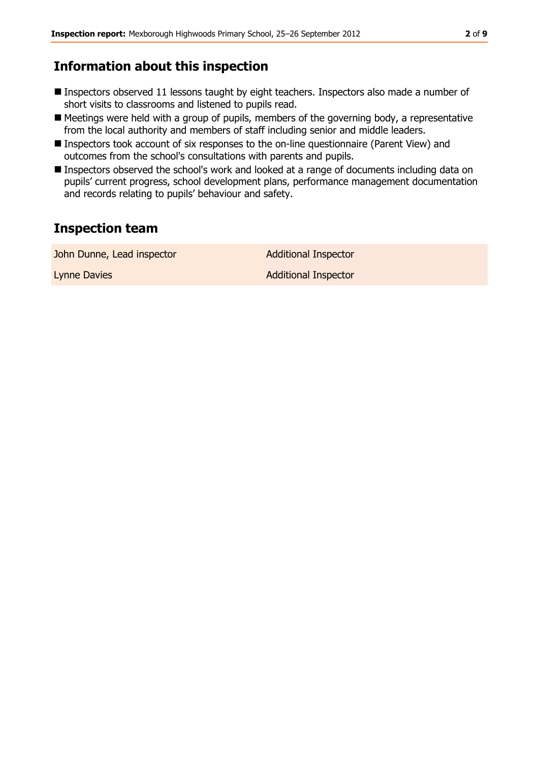## **Information about this inspection**

- Inspectors observed 11 lessons taught by eight teachers. Inspectors also made a number of short visits to classrooms and listened to pupils read.
- Meetings were held with a group of pupils, members of the governing body, a representative from the local authority and members of staff including senior and middle leaders.
- Inspectors took account of six responses to the on-line questionnaire (Parent View) and outcomes from the school's consultations with parents and pupils.
- Inspectors observed the school's work and looked at a range of documents including data on pupils' current progress, school development plans, performance management documentation and records relating to pupils' behaviour and safety.

## **Inspection team**

John Dunne, Lead inspector and a Additional Inspector

Lynne Davies **Additional Inspector** Additional Inspector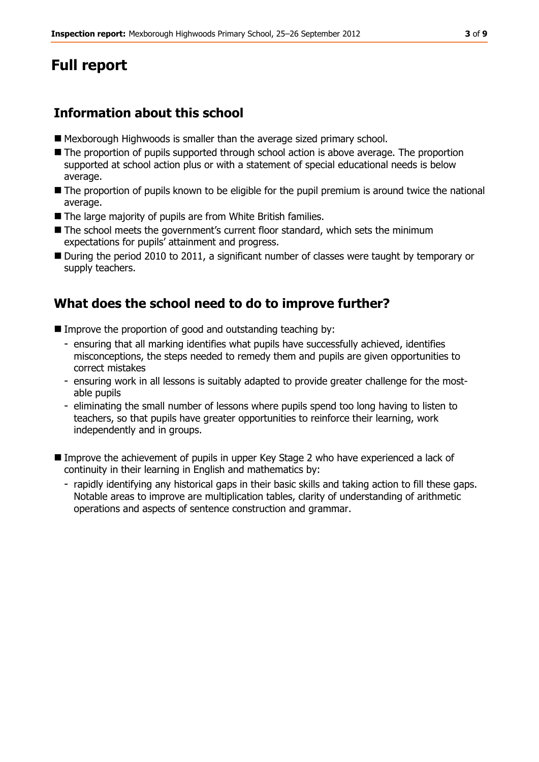## **Full report**

## **Information about this school**

- Mexborough Highwoods is smaller than the average sized primary school.
- The proportion of pupils supported through school action is above average. The proportion supported at school action plus or with a statement of special educational needs is below average.
- $\blacksquare$  The proportion of pupils known to be eligible for the pupil premium is around twice the national average.
- The large majority of pupils are from White British families.
- The school meets the government's current floor standard, which sets the minimum expectations for pupils' attainment and progress.
- During the period 2010 to 2011, a significant number of classes were taught by temporary or supply teachers.

## **What does the school need to do to improve further?**

- Improve the proportion of good and outstanding teaching by:
	- ensuring that all marking identifies what pupils have successfully achieved, identifies misconceptions, the steps needed to remedy them and pupils are given opportunities to correct mistakes
	- ensuring work in all lessons is suitably adapted to provide greater challenge for the mostable pupils
	- eliminating the small number of lessons where pupils spend too long having to listen to teachers, so that pupils have greater opportunities to reinforce their learning, work independently and in groups.
- Improve the achievement of pupils in upper Key Stage 2 who have experienced a lack of continuity in their learning in English and mathematics by:
	- rapidly identifying any historical gaps in their basic skills and taking action to fill these gaps. Notable areas to improve are multiplication tables, clarity of understanding of arithmetic operations and aspects of sentence construction and grammar.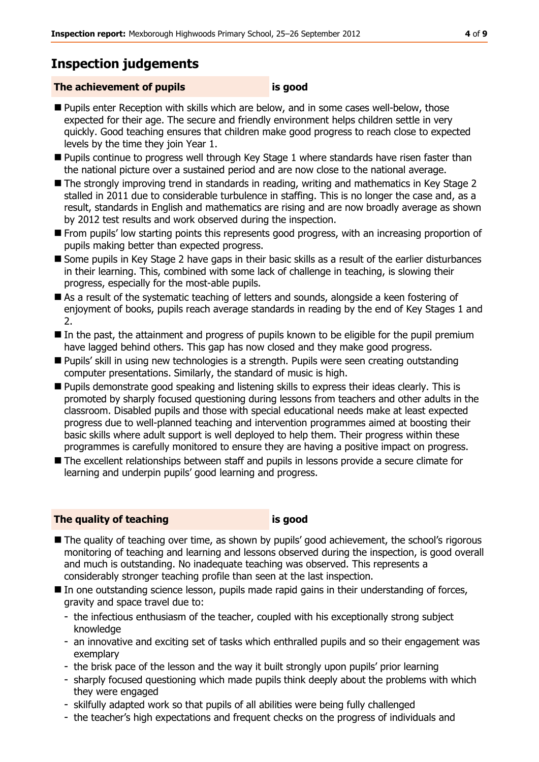## **Inspection judgements**

#### **The achievement of pupils is good**

- **Pupils enter Reception with skills which are below, and in some cases well-below, those** expected for their age. The secure and friendly environment helps children settle in very quickly. Good teaching ensures that children make good progress to reach close to expected levels by the time they join Year 1.
- Pupils continue to progress well through Key Stage 1 where standards have risen faster than the national picture over a sustained period and are now close to the national average.
- The strongly improving trend in standards in reading, writing and mathematics in Key Stage 2 stalled in 2011 due to considerable turbulence in staffing. This is no longer the case and, as a result, standards in English and mathematics are rising and are now broadly average as shown by 2012 test results and work observed during the inspection.
- **From pupils' low starting points this represents good progress, with an increasing proportion of** pupils making better than expected progress.
- Some pupils in Key Stage 2 have gaps in their basic skills as a result of the earlier disturbances in their learning. This, combined with some lack of challenge in teaching, is slowing their progress, especially for the most-able pupils.
- As a result of the systematic teaching of letters and sounds, alongside a keen fostering of enjoyment of books, pupils reach average standards in reading by the end of Key Stages 1 and 2.
- In the past, the attainment and progress of pupils known to be eligible for the pupil premium have lagged behind others. This gap has now closed and they make good progress.
- Pupils' skill in using new technologies is a strength. Pupils were seen creating outstanding computer presentations. Similarly, the standard of music is high.
- **Pupils demonstrate good speaking and listening skills to express their ideas clearly. This is** promoted by sharply focused questioning during lessons from teachers and other adults in the classroom. Disabled pupils and those with special educational needs make at least expected progress due to well-planned teaching and intervention programmes aimed at boosting their basic skills where adult support is well deployed to help them. Their progress within these programmes is carefully monitored to ensure they are having a positive impact on progress.
- The excellent relationships between staff and pupils in lessons provide a secure climate for learning and underpin pupils' good learning and progress.

#### **The quality of teaching is good**

- The quality of teaching over time, as shown by pupils' good achievement, the school's rigorous monitoring of teaching and learning and lessons observed during the inspection, is good overall and much is outstanding. No inadequate teaching was observed. This represents a considerably stronger teaching profile than seen at the last inspection.
- $\blacksquare$  In one outstanding science lesson, pupils made rapid gains in their understanding of forces, gravity and space travel due to:
	- the infectious enthusiasm of the teacher, coupled with his exceptionally strong subject knowledge
	- an innovative and exciting set of tasks which enthralled pupils and so their engagement was exemplary
	- the brisk pace of the lesson and the way it built strongly upon pupils' prior learning
	- sharply focused questioning which made pupils think deeply about the problems with which they were engaged
	- skilfully adapted work so that pupils of all abilities were being fully challenged
	- the teacher's high expectations and frequent checks on the progress of individuals and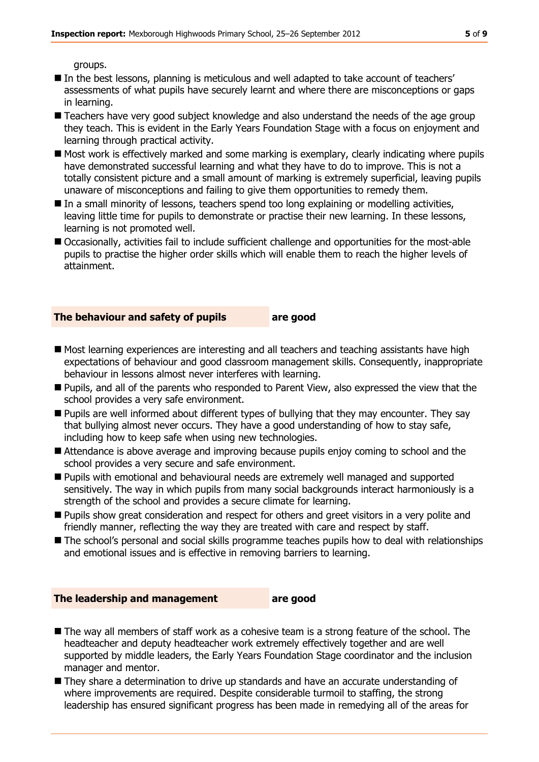groups.

- In the best lessons, planning is meticulous and well adapted to take account of teachers' assessments of what pupils have securely learnt and where there are misconceptions or gaps in learning.
- **Teachers have very good subject knowledge and also understand the needs of the age group** they teach. This is evident in the Early Years Foundation Stage with a focus on enjoyment and learning through practical activity.
- $\blacksquare$  Most work is effectively marked and some marking is exemplary, clearly indicating where pupils have demonstrated successful learning and what they have to do to improve. This is not a totally consistent picture and a small amount of marking is extremely superficial, leaving pupils unaware of misconceptions and failing to give them opportunities to remedy them.
- In a small minority of lessons, teachers spend too long explaining or modelling activities, leaving little time for pupils to demonstrate or practise their new learning. In these lessons, learning is not promoted well.
- Occasionally, activities fail to include sufficient challenge and opportunities for the most-able pupils to practise the higher order skills which will enable them to reach the higher levels of attainment.

#### **The behaviour and safety of pupils are good**

- $\blacksquare$  Most learning experiences are interesting and all teachers and teaching assistants have high expectations of behaviour and good classroom management skills. Consequently, inappropriate behaviour in lessons almost never interferes with learning.
- **Pupils, and all of the parents who responded to Parent View, also expressed the view that the** school provides a very safe environment.
- **Pupils are well informed about different types of bullying that they may encounter. They say** that bullying almost never occurs. They have a good understanding of how to stay safe, including how to keep safe when using new technologies.
- Attendance is above average and improving because pupils enjoy coming to school and the school provides a very secure and safe environment.
- Pupils with emotional and behavioural needs are extremely well managed and supported sensitively. The way in which pupils from many social backgrounds interact harmoniously is a strength of the school and provides a secure climate for learning.
- **Pupils show great consideration and respect for others and greet visitors in a very polite and** friendly manner, reflecting the way they are treated with care and respect by staff.
- $\blacksquare$  The school's personal and social skills programme teaches pupils how to deal with relationships and emotional issues and is effective in removing barriers to learning.

#### **The leadership and management are good**

- The way all members of staff work as a cohesive team is a strong feature of the school. The headteacher and deputy headteacher work extremely effectively together and are well supported by middle leaders, the Early Years Foundation Stage coordinator and the inclusion manager and mentor.
- They share a determination to drive up standards and have an accurate understanding of where improvements are required. Despite considerable turmoil to staffing, the strong leadership has ensured significant progress has been made in remedying all of the areas for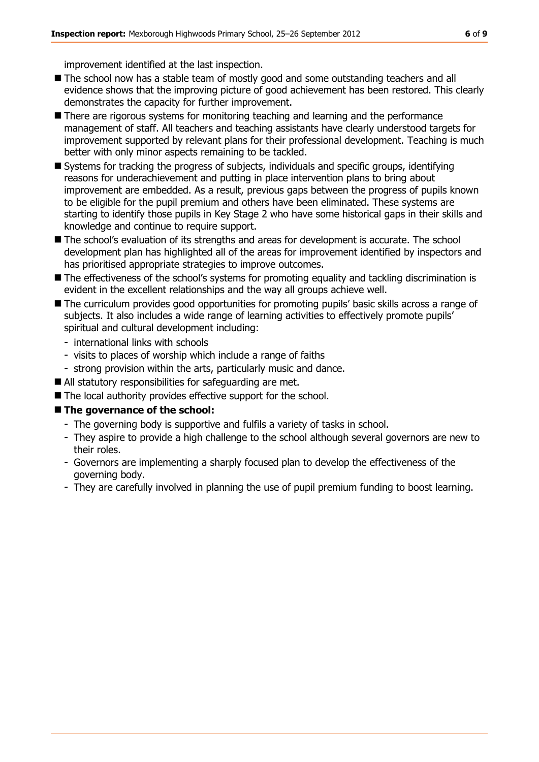improvement identified at the last inspection.

- The school now has a stable team of mostly good and some outstanding teachers and all evidence shows that the improving picture of good achievement has been restored. This clearly demonstrates the capacity for further improvement.
- There are rigorous systems for monitoring teaching and learning and the performance management of staff. All teachers and teaching assistants have clearly understood targets for improvement supported by relevant plans for their professional development. Teaching is much better with only minor aspects remaining to be tackled.
- Systems for tracking the progress of subjects, individuals and specific groups, identifying reasons for underachievement and putting in place intervention plans to bring about improvement are embedded. As a result, previous gaps between the progress of pupils known to be eligible for the pupil premium and others have been eliminated. These systems are starting to identify those pupils in Key Stage 2 who have some historical gaps in their skills and knowledge and continue to require support.
- The school's evaluation of its strengths and areas for development is accurate. The school development plan has highlighted all of the areas for improvement identified by inspectors and has prioritised appropriate strategies to improve outcomes.
- $\blacksquare$  The effectiveness of the school's systems for promoting equality and tackling discrimination is evident in the excellent relationships and the way all groups achieve well.
- The curriculum provides good opportunities for promoting pupils' basic skills across a range of subjects. It also includes a wide range of learning activities to effectively promote pupils' spiritual and cultural development including:
	- international links with schools
	- visits to places of worship which include a range of faiths
	- strong provision within the arts, particularly music and dance.
- All statutory responsibilities for safeguarding are met.
- The local authority provides effective support for the school.

#### **The governance of the school:**

- The governing body is supportive and fulfils a variety of tasks in school.
- They aspire to provide a high challenge to the school although several governors are new to their roles.
- Governors are implementing a sharply focused plan to develop the effectiveness of the governing body.
- They are carefully involved in planning the use of pupil premium funding to boost learning.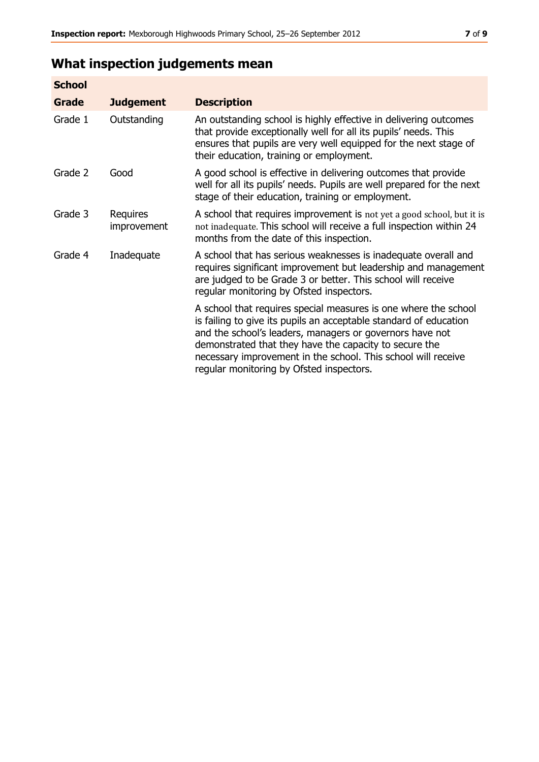## **What inspection judgements mean**

| <b>School</b> |                         |                                                                                                                                                                                                                                                                                                                                                                         |
|---------------|-------------------------|-------------------------------------------------------------------------------------------------------------------------------------------------------------------------------------------------------------------------------------------------------------------------------------------------------------------------------------------------------------------------|
| Grade         | <b>Judgement</b>        | <b>Description</b>                                                                                                                                                                                                                                                                                                                                                      |
| Grade 1       | Outstanding             | An outstanding school is highly effective in delivering outcomes<br>that provide exceptionally well for all its pupils' needs. This<br>ensures that pupils are very well equipped for the next stage of<br>their education, training or employment.                                                                                                                     |
| Grade 2       | Good                    | A good school is effective in delivering outcomes that provide<br>well for all its pupils' needs. Pupils are well prepared for the next<br>stage of their education, training or employment.                                                                                                                                                                            |
| Grade 3       | Requires<br>improvement | A school that requires improvement is not yet a good school, but it is<br>not inadequate. This school will receive a full inspection within 24<br>months from the date of this inspection.                                                                                                                                                                              |
| Grade 4       | Inadequate              | A school that has serious weaknesses is inadequate overall and<br>requires significant improvement but leadership and management<br>are judged to be Grade 3 or better. This school will receive<br>regular monitoring by Ofsted inspectors.                                                                                                                            |
|               |                         | A school that requires special measures is one where the school<br>is failing to give its pupils an acceptable standard of education<br>and the school's leaders, managers or governors have not<br>demonstrated that they have the capacity to secure the<br>necessary improvement in the school. This school will receive<br>regular monitoring by Ofsted inspectors. |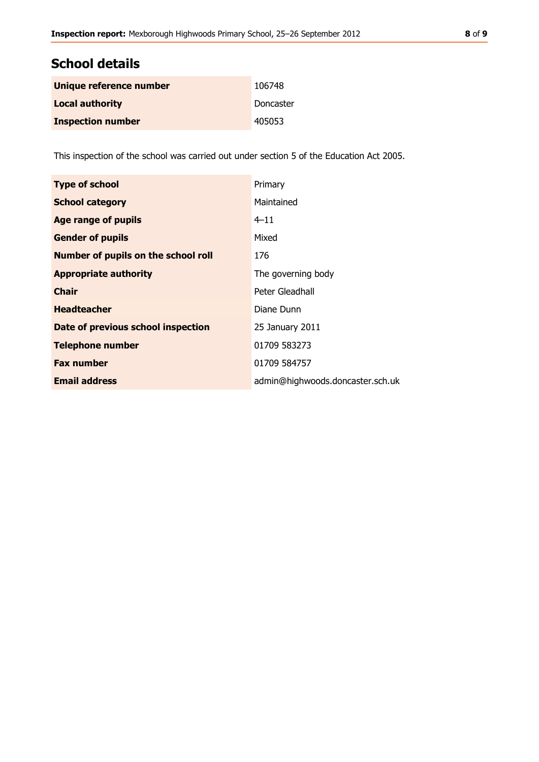| Unique reference number  | 106748    |
|--------------------------|-----------|
| <b>Local authority</b>   | Doncaster |
| <b>Inspection number</b> | 405053    |

This inspection of the school was carried out under section 5 of the Education Act 2005.

| <b>Type of school</b>                      | Primary                          |
|--------------------------------------------|----------------------------------|
| <b>School category</b>                     | Maintained                       |
| <b>Age range of pupils</b>                 | $4 - 11$                         |
| <b>Gender of pupils</b>                    | Mixed                            |
| <b>Number of pupils on the school roll</b> | 176                              |
| <b>Appropriate authority</b>               | The governing body               |
| <b>Chair</b>                               | Peter Gleadhall                  |
| <b>Headteacher</b>                         | Diane Dunn                       |
| Date of previous school inspection         | 25 January 2011                  |
| <b>Telephone number</b>                    | 01709 583273                     |
| <b>Fax number</b>                          | 01709 584757                     |
| <b>Email address</b>                       | admin@highwoods.doncaster.sch.uk |